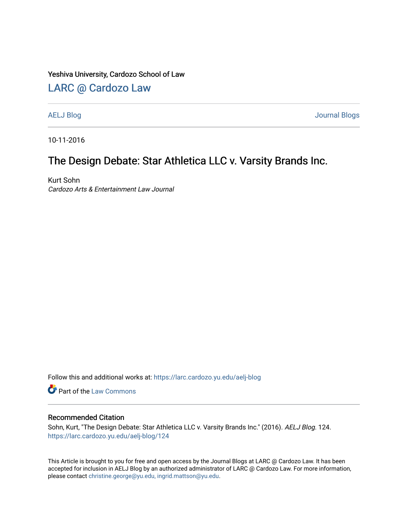#### Yeshiva University, Cardozo School of Law

#### [LARC @ Cardozo Law](https://larc.cardozo.yu.edu/)

[AELJ Blog](https://larc.cardozo.yu.edu/aelj-blog) [Journal Blogs](https://larc.cardozo.yu.edu/journal-blogs) 

10-11-2016

## The Design Debate: Star Athletica LLC v. Varsity Brands Inc.

Kurt Sohn Cardozo Arts & Entertainment Law Journal

Follow this and additional works at: [https://larc.cardozo.yu.edu/aelj-blog](https://larc.cardozo.yu.edu/aelj-blog?utm_source=larc.cardozo.yu.edu%2Faelj-blog%2F124&utm_medium=PDF&utm_campaign=PDFCoverPages) 

Part of the [Law Commons](http://network.bepress.com/hgg/discipline/578?utm_source=larc.cardozo.yu.edu%2Faelj-blog%2F124&utm_medium=PDF&utm_campaign=PDFCoverPages)

#### Recommended Citation

Sohn, Kurt, "The Design Debate: Star Athletica LLC v. Varsity Brands Inc." (2016). AELJ Blog. 124. [https://larc.cardozo.yu.edu/aelj-blog/124](https://larc.cardozo.yu.edu/aelj-blog/124?utm_source=larc.cardozo.yu.edu%2Faelj-blog%2F124&utm_medium=PDF&utm_campaign=PDFCoverPages) 

This Article is brought to you for free and open access by the Journal Blogs at LARC @ Cardozo Law. It has been accepted for inclusion in AELJ Blog by an authorized administrator of LARC @ Cardozo Law. For more information, please contact [christine.george@yu.edu, ingrid.mattson@yu.edu.](mailto:christine.george@yu.edu,%20ingrid.mattson@yu.edu)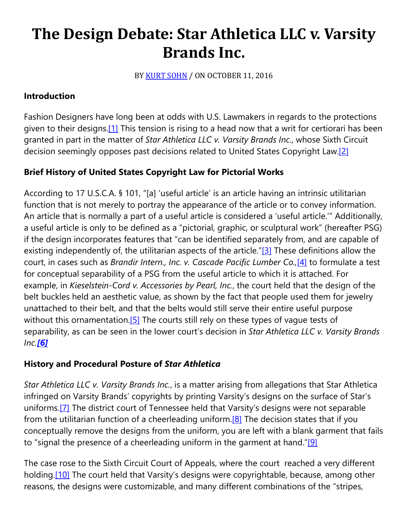# **The Design Debate: Star Athletica LLC v. Varsity Brands Inc.**

BY [KURT SOHN](https://cardozoaelj.com/author/kurt-sohn/) / ON OCTOBER 11, 2016

## **Introduction**

Fashion Designers have long been at odds with U.S. Lawmakers in regards to the protections given to their designs.<sup>[1]</sup> This tension is rising to a head now that a writ for certiorari has been granted in part in the matter of *Star Athletica LLC v. Varsity Brands Inc.*, whose Sixth Circuit decision seemingly opposes past decisions related to United States Copyright Law.<sup>[2]</sup>

## **Brief History of United States Copyright Law for Pictorial Works**

According to 17 U.S.C.A. § 101, "[a] 'useful article' is an article having an intrinsic utilitarian function that is not merely to portray the appearance of the article or to convey information. An article that is normally a part of a useful article is considered a 'useful article.'" Additionally, a useful article is only to be defined as a "pictorial, graphic, or sculptural work" (hereafter PSG) if the design incorporates features that "can be identified separately from, and are capable of existing independently of, the utilitarian aspects of the article.["\[3\]](https://cardozoaelj.com/2016/10/11/design-debate-star-athletica-llc-v-varsity-brands-inc/#_ftn3) These definitions allow the court, in cases such as *Brandir Intern., Inc. v. Cascade Pacific Lumber Co.,*[\[4\]](https://cardozoaelj.com/2016/10/11/design-debate-star-athletica-llc-v-varsity-brands-inc/#_ftn4) to formulate a test for conceptual separability of a PSG from the useful article to which it is attached. For example, in *Kieselstein-Cord v. Accessories by Pearl, Inc.*, the court held that the design of the belt buckles held an aesthetic value, as shown by the fact that people used them for jewelry unattached to their belt, and that the belts would still serve their entire useful purpose without this ornamentation.<sup>[5]</sup> The courts still rely on these types of vague tests of separability, as can be seen in the lower court's decision in *Star Athletica LLC v. Varsity Brands Inc.[\[6\]](https://cardozoaelj.com/2016/10/11/design-debate-star-athletica-llc-v-varsity-brands-inc/#_ftn6)*

#### **History and Procedural Posture of** *Star Athletica*

*Star Athletica LLC v. Varsity Brands Inc.*, is a matter arising from allegations that Star Athletica infringed on Varsity Brands' copyrights by printing Varsity's designs on the surface of Star's uniforms[.\[7\]](https://cardozoaelj.com/2016/10/11/design-debate-star-athletica-llc-v-varsity-brands-inc/#_ftn7) The district court of Tennessee held that Varsity's designs were not separable from the utilitarian function of a cheerleading uniform.<sup>[8]</sup> The decision states that if you conceptually remove the designs from the uniform, you are left with a blank garment that fails to "signal the presence of a cheerleading uniform in the garment at hand." $[9]$ 

The case rose to the Sixth Circuit Court of Appeals, where the court reached a very different holding.<sup>[10]</sup> The court held that Varsity's designs were copyrightable, because, among other reasons, the designs were customizable, and many different combinations of the "stripes,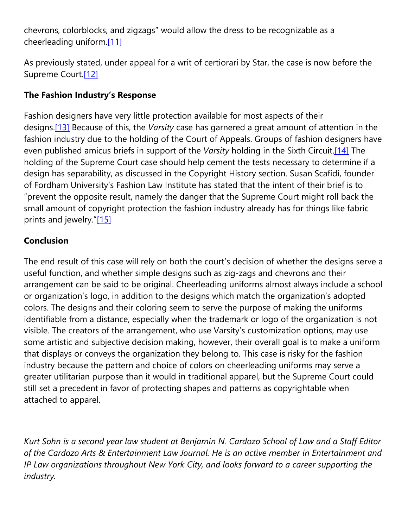chevrons, colorblocks, and zigzags" would allow the dress to be recognizable as a cheerleading uniform[.\[11\]](https://cardozoaelj.com/2016/10/11/design-debate-star-athletica-llc-v-varsity-brands-inc/#_ftn11)

As previously stated, under appeal for a writ of certiorari by Star, the case is now before the Supreme Court.<sup>[12]</sup>

# **The Fashion Industry's Response**

Fashion designers have very little protection available for most aspects of their designs[.\[13\]](https://cardozoaelj.com/2016/10/11/design-debate-star-athletica-llc-v-varsity-brands-inc/#_ftn13) Because of this, the *Varsity* case has garnered a great amount of attention in the fashion industry due to the holding of the Court of Appeals. Groups of fashion designers have even published amicus briefs in support of the *Varsity* holding in the Sixth Circuit[.\[14\]](https://cardozoaelj.com/2016/10/11/design-debate-star-athletica-llc-v-varsity-brands-inc/#_ftn14) The holding of the Supreme Court case should help cement the tests necessary to determine if a design has separability, as discussed in the Copyright History section. Susan Scafidi, founder of Fordham University's Fashion Law Institute has stated that the intent of their brief is to "prevent the opposite result, namely the danger that the Supreme Court might roll back the small amount of copyright protection the fashion industry already has for things like fabric prints and jewelry.["\[15\]](https://cardozoaelj.com/2016/10/11/design-debate-star-athletica-llc-v-varsity-brands-inc/#_ftn15)

# **Conclusion**

The end result of this case will rely on both the court's decision of whether the designs serve a useful function, and whether simple designs such as zig-zags and chevrons and their arrangement can be said to be original. Cheerleading uniforms almost always include a school or organization's logo, in addition to the designs which match the organization's adopted colors. The designs and their coloring seem to serve the purpose of making the uniforms identifiable from a distance, especially when the trademark or logo of the organization is not visible. The creators of the arrangement, who use Varsity's customization options, may use some artistic and subjective decision making, however, their overall goal is to make a uniform that displays or conveys the organization they belong to. This case is risky for the fashion industry because the pattern and choice of colors on cheerleading uniforms may serve a greater utilitarian purpose than it would in traditional apparel, but the Supreme Court could still set a precedent in favor of protecting shapes and patterns as copyrightable when attached to apparel.

Kurt Sohn is a second year law student at Benjamin N. Cardozo School of Law and a Staff Editor *of the Cardozo Arts & Entertainment Law Journal. He is an active member in Entertainment and IP Law organizations throughout New York City, and looks forward to a career supporting the industry.*